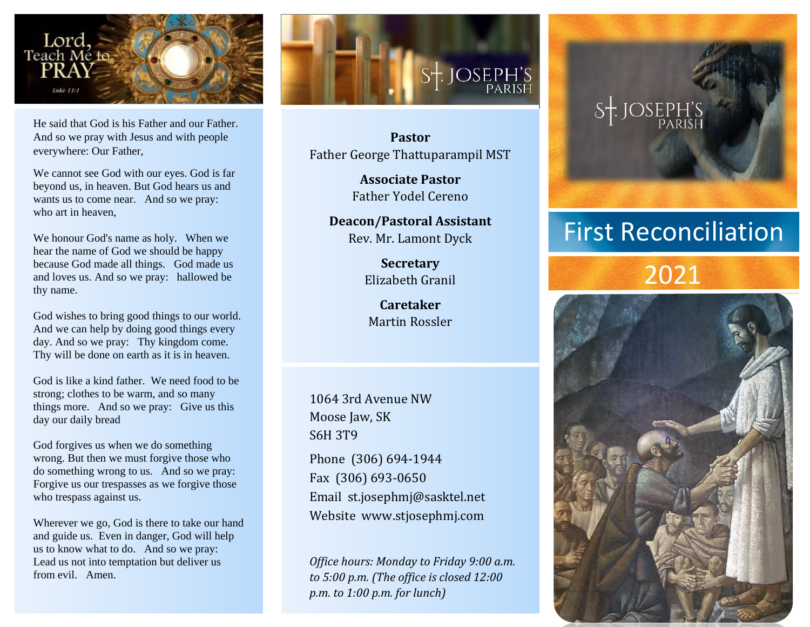

He said that God is his Father and our Father. And so we pray with Jesus and with people everywhere: Our Father,

We cannot see God with our eyes. God is far beyond us, in heaven. But God hears us and wants us to come near. And so we pray: who art in heaven,

We honour God's name as holy. When we hear the name of God we should be happy because God made all things. God made us and loves us. And so we pray: hallowed be thy name.

God wishes to bring good things to our world. And we can help by doing good things every day. And so we pray: Thy kingdom come. Thy will be done on earth as it is in heaven.

God is like a kind father. We need food to be strong; clothes to be warm, and so many things more. And so we pray: Give us this day our daily bread

God forgives us when we do something wrong. But then we must forgive those who do something wrong to us. And so we pray: Forgive us our trespasses as we forgive those who trespass against us.

Wherever we go, God is there to take our hand and guide us. Even in danger, God will help us to know what to do. And so we pray: Lead us not into temptation but deliver us from evil. Amen.



**Pastor** Father George Thattuparampil MST

> **Associate Pastor** Father Yodel Cereno

**Deacon/Pastoral Assistant** Rev. Mr. Lamont Dyck

> **Secretary** Elizabeth Granil

**Caretaker** Martin Rossler

1064 3rd Avenue NW Moose Jaw, SK S6H 3T9

Phone (306) 694-1944 Fax (306) 693-0650 Email st.josephmj@sasktel.net Website www.stjosephmj.com

*Office hours: Monday to Friday 9:00 a.m. to 5:00 p.m. (The office is closed 12:00 p.m. to 1:00 p.m. for lunch)*



## First Reconciliation

## 2021